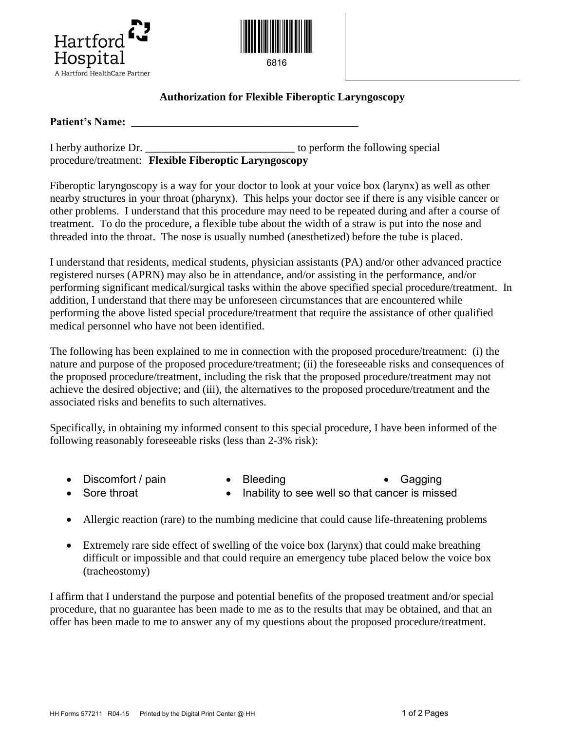



## **Authorization for Flexible Fiberoptic Laryngoscopy**

Patient's Name:

| I herby authorize Dr. |                                                       | to perform the following special |  |
|-----------------------|-------------------------------------------------------|----------------------------------|--|
|                       | procedure/treatment: Flexible Fiberoptic Laryngoscopy |                                  |  |

Fiberoptic laryngoscopy is a way for your doctor to look at your voice box (larynx) as well as other nearby structures in your throat (pharynx). This helps your doctor see if there is any visible cancer or other problems. I understand that this procedure may need to be repeated during and after a course of treatment. To do the procedure, a flexible tube about the width of a straw is put into the nose and threaded into the throat. The nose is usually numbed (anesthetized) before the tube is placed.

I understand that residents, medical students, physician assistants (PA) and/or other advanced practice registered nurses (APRN) may also be in attendance, and/or assisting in the performance, and/or performing significant medical/surgical tasks within the above specified special procedure/treatment. In addition, I understand that there may be unforeseen circumstances that are encountered while performing the above listed special procedure/treatment that require the assistance of other qualified medical personnel who have not been identified.

The following has been explained to me in connection with the proposed procedure/treatment: (i) the nature and purpose of the proposed procedure/treatment; (ii) the foreseeable risks and consequences of the proposed procedure/treatment, including the risk that the proposed procedure/treatment may not achieve the desired objective; and (iii), the alternatives to the proposed procedure/treatment and the associated risks and benefits to such alternatives.

Specifically, in obtaining my informed consent to this special procedure, I have been informed of the following reasonably foreseeable risks (less than 2-3% risk):

- 
- Discomfort / pain Bleeding Gagging
- 
- Sore throat Inability to see well so that cancer is missed
- Allergic reaction (rare) to the numbing medicine that could cause life-threatening problems
- Extremely rare side effect of swelling of the voice box (larynx) that could make breathing difficult or impossible and that could require an emergency tube placed below the voice box (tracheostomy)

I affirm that I understand the purpose and potential benefits of the proposed treatment and/or special procedure, that no guarantee has been made to me as to the results that may be obtained, and that an offer has been made to me to answer any of my questions about the proposed procedure/treatment.